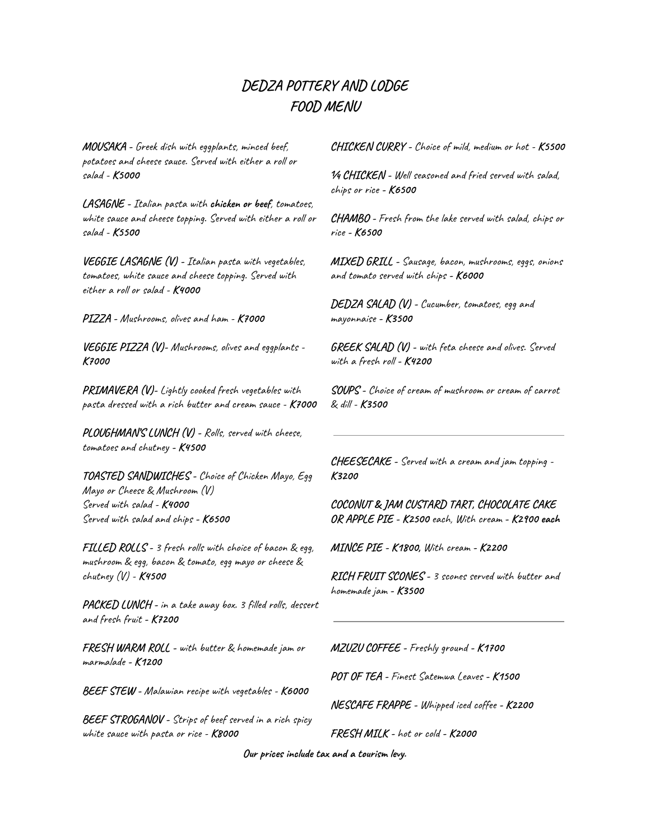### **DEDZA POTTERY AND LODGE FOOD MENU**

**MOUSAKA -** Greek dish with eggplants, minced beef, potatoes and cheese sauce. Served with either a roll or salad - **K5000**

**LASAGNE -** Italian pasta with **chicken or beef**, tomatoes, white sauce and cheese topping. Served with either a roll or salad - **K5500**

**VEGGIE LASAGNE (V) -** Italian pasta with vegetables, tomatoes, white sauce and cheese topping. Served with either a roll or salad - **K4000**

**PIZZA -** Mushrooms, olives and ham - **K7000**

**VEGGIE PIZZA (V)-** Mushrooms, olives and eggplants - **K7000**

**PRIMAVERA (V)-** Lightly cooked fresh vegetables with pasta dressed with a rich butter and cream sauce - **K7000**

**PLOUGHMAN'S LUNCH (V) -** Rolls, served with cheese, tomatoes and chutney **- K4500**

**TOASTED SANDWICHES -** Choice of Chicken Mayo, Egg Mayo or Cheese & Mushroom (V) Served with salad - **K4000** Served with salad and chips **- K6500**

**FILLED ROLLS -** 3 fresh rolls with choice of bacon & egg, mushroom & egg, bacon & tomato, egg mayo or cheese & chutney (V) - **K4500**

**PACKED LUNCH -** in a take away box. 3 filled rolls, dessert and fresh fruit **- K7200**

**FRESH WARM ROLL -** with butter & homemade jam or marmalade **- K1200**

**BEEF STEW -** Malawian recipe with vegetables - **K6000**

**BEEF STROGANOV -** Strips of beef served in a rich spicy white sauce with pasta or rice - **K8000**

**CHICKEN CURRY -** Choice of mild, medium or hot - **K5500**

**¼ CHICKEN -** Well seasoned and fried served with salad, chips or rice **- K6500**

**CHAMBO -** Fresh from the lake served with salad, chips or rice **- K6500**

**MIXED GRILL -** Sausage, bacon, mushrooms, eggs, onions and tomato served with chips **- K6000**

**DEDZA SALAD (V) -** Cucumber, tomatoes, egg and mayonnaise **- K3500**

**GREEK SALAD (V) -** with feta cheese and olives. Served with a fresh roll **- K4200**

**SOUPS -** Choice of cream of mushroom or cream of carrot & dill - **K3500**

**CHEESECAKE -** Served with a cream and jam topping - **K3200**

**COCONUT & JAM CUSTARD TART, CHOCOLATE CAKE OR APPLE PIE - K2500** each, With cream **- K2900 each**

**MINCE PIE - K1800,** With cream **- K2200**

**RICH FRUIT SCONES -** 3 scones served with butter and homemade jam **- K3500**

**MZUZU COFFEE -** Freshly ground **- K1700**

**POT OF TEA -** Finest Satemwa Leaves **- K1500**

**NESCAFE FRAPPE -** Whipped iced coffee **- K2200**

**FRESH MILK -** hot or cold **- K2000**

**Our prices include tax and a tourism levy.**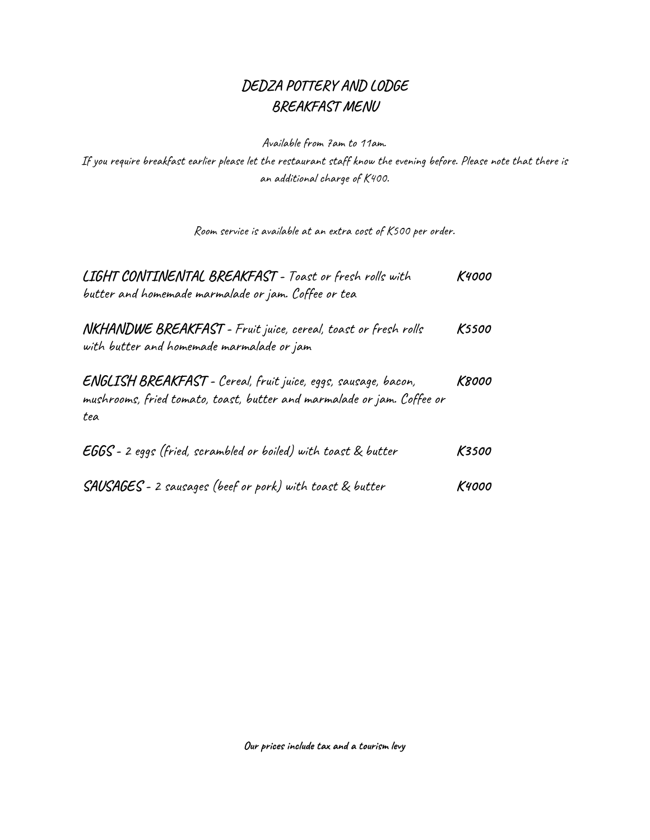### **DEDZA POTTERY AND LODGE BREAKFAST MENU**

Available from 7am to 11am.

If you require breakfast earlier please let the restaurant staff know the evening before. Please note that there is an additional charge of K400.

Room service is available at an extra cost of K500 per order.

| <b>LIGHT CONTINENTAL BREAKFAST - Toast or fresh rolls with</b><br>butter and homemade marmalade or jam. Coffee or tea                           | K4000        |
|-------------------------------------------------------------------------------------------------------------------------------------------------|--------------|
| <b>NKHANDWE BREAKFAST</b> - Fruit juice, cereal, toast or fresh rolls<br>with butter and homemade marmalade or jam                              | <b>K5500</b> |
| ENGLISH BREAKFAST - Cereal, fruit juice, eggs, sausage, bacon,<br>mushrooms, fried tomato, toast, butter and marmalade or jam. Coffee or<br>tea | K8000        |
| <b>EGGS</b> - 2 eggs (fried, scrambled or boiled) with toast & butter                                                                           | K3500        |
| <b>SAUSAGES</b> - 2 sausages (beef or pork) with toast & butter                                                                                 | K4000        |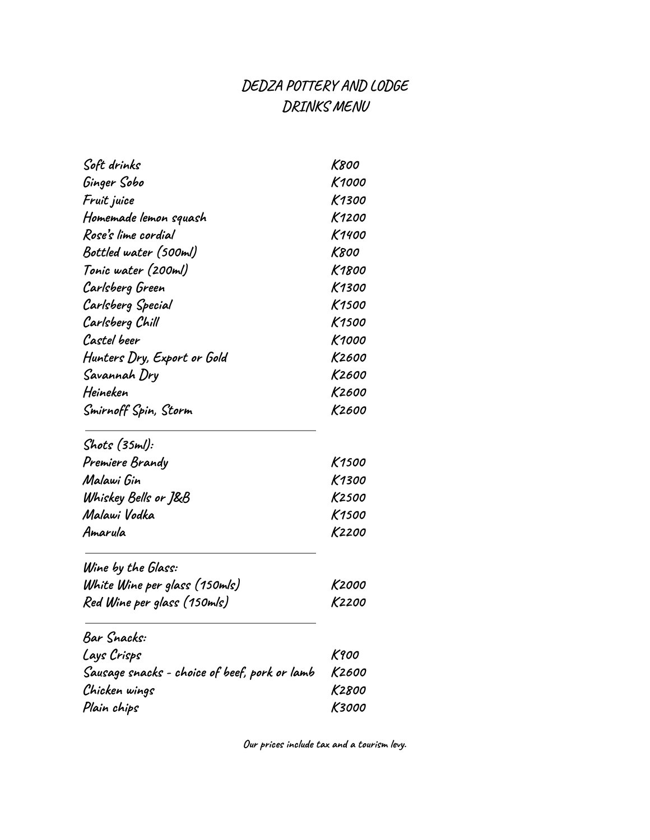# **DEDZA POTTERY AND LODGE DRINKS MENU**

| Soft drinks                                   | K800  |
|-----------------------------------------------|-------|
| Ginger Sobo                                   | K1000 |
| Fruit juice                                   | K1300 |
| Homemade lemon squash                         | K1200 |
| Rose's lime cordial                           | K1400 |
| Bottled water (500ml)                         | K800  |
| Tonic water (200ml)                           | K1800 |
| Carlsberg Green                               | K1300 |
| Carlsberg Special                             | K1500 |
| Carlsberg Chill                               | K1500 |
| Castel beer                                   | K1000 |
| Hunters Dry, Export or Gold                   | K2600 |
| Savannah Dry                                  | K2600 |
| Heineken                                      | K2600 |
| Smirnoff Spin, Storm                          | K2600 |
| Shots (35ml):                                 |       |
| Premiere Brandy                               | K1500 |
| Malawi Gin                                    | K1300 |
| Whiskey Bells or J&B                          | K2500 |
| Malawi Vodka                                  | K1500 |
| Amarula                                       | K2200 |
| Wine by the Glass:                            |       |
| White Wine per glass (150mls)                 | K2000 |
| Red Wine per glass (150mls)                   | K2200 |
| Bar Snacks:                                   |       |
| Lays Crisps                                   | K900  |
| Sausage snacks - choice of beef, pork or lamb | K2600 |
| Chicken wings                                 | K2800 |
| Plain chips                                   | K3000 |

**Our prices include tax and a tourism levy.**